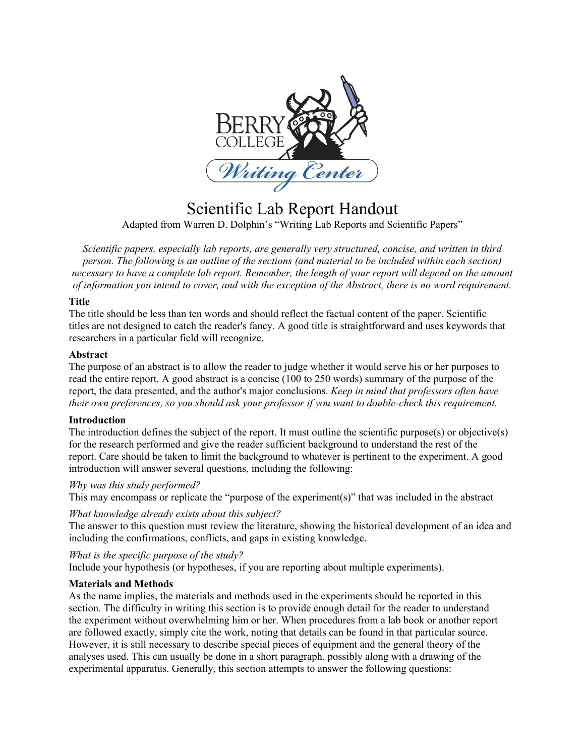

# Scientific Lab Report Handout

Adapted from Warren D. Dolphin's "Writing Lab Reports and Scientific Papers"

*Scientific papers, especially lab reports, are generally very structured, concise, and written in third person. The following is an outline of the sections (and material to be included within each section)* necessary to have a complete lab report. Remember, the length of your report will depend on the amount of information you intend to cover, and with the exception of the Abstract, there is no word requirement.

## **Title**

The title should be less than ten words and should reflect the factual content of the paper. Scientific titles are not designed to catch the reader's fancy. A good title is straightforward and uses keywords that researchers in a particular field will recognize.

## **Abstract**

The purpose of an abstract is to allow the reader to judge whether it would serve his or her purposes to read the entire report. A good abstract is a concise (100 to 250 words) summary of the purpose of the report, the data presented, and the author's major conclusions. *Keep in mind that professors often have their own preferences, so you should ask your professor if you want to double-check this requirement.*

## **Introduction**

The introduction defines the subject of the report. It must outline the scientific purpose(s) or objective(s) for the research performed and give the reader sufficient background to understand the rest of the report. Care should be taken to limit the background to whatever is pertinent to the experiment. A good introduction will answer several questions, including the following:

# *Why was this study performed?*

This may encompass or replicate the "purpose of the experiment(s)" that was included in the abstract

## *What knowledge already exists about this subject?*

The answer to this question must review the literature, showing the historical development of an idea and including the confirmations, conflicts, and gaps in existing knowledge.

*What is the specific purpose of the study?*

Include your hypothesis (or hypotheses, if you are reporting about multiple experiments).

# **Materials and Methods**

As the name implies, the materials and methods used in the experiments should be reported in this section. The difficulty in writing this section is to provide enough detail for the reader to understand the experiment without overwhelming him or her. When procedures from a lab book or another report are followed exactly, simply cite the work, noting that details can be found in that particular source. However, it is still necessary to describe special pieces of equipment and the general theory of the analyses used. This can usually be done in a short paragraph, possibly along with a drawing of the experimental apparatus. Generally, this section attempts to answer the following questions: